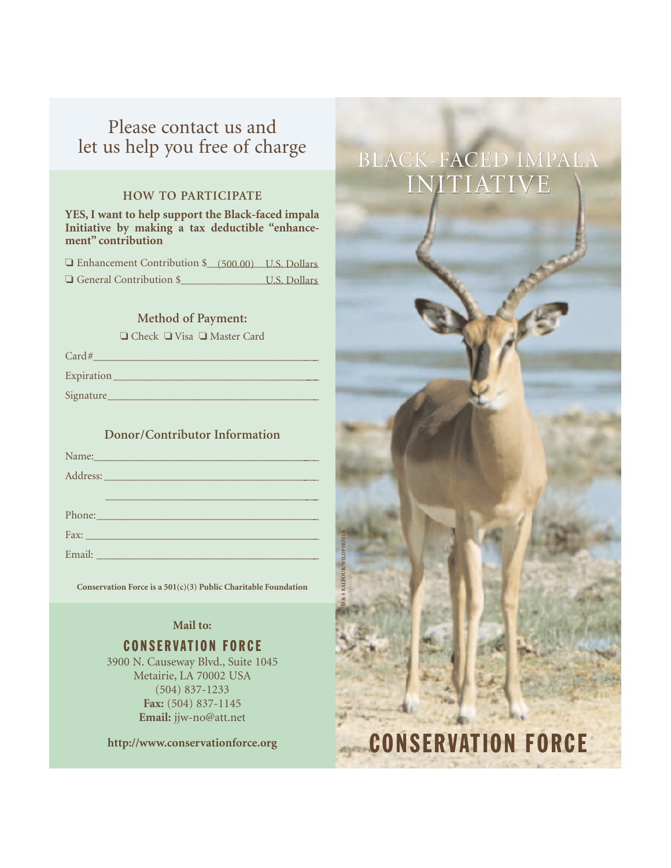# Please contact us and let us help you free of charge

### **HOW TO PARTICIPATE**

**YES, I want to help support the Black-faced impala Initiative by making a tax deductible "enhancement" contribution**

| Enhancement Contribution \$ (500.00) U.S. Dollars |              |
|---------------------------------------------------|--------------|
| $\Box$ General Contribution \$                    | U.S. Dollars |

### **Method of Payment:**

❏ Check ❏ Visa ❏ Master Card

| Card#      |
|------------|
| Expiration |
| Signature  |

## **Donor/Contributor Information**

| Name: Name and the second contract of the second contract of the second contract of the second contract of the                                                                                                                 |
|--------------------------------------------------------------------------------------------------------------------------------------------------------------------------------------------------------------------------------|
| Address: Note and the contract of the contract of the contract of the contract of the contract of the contract of the contract of the contract of the contract of the contract of the contract of the contract of the contract |
|                                                                                                                                                                                                                                |
| Phone: New York Changes and The Changes of the Changes of the Changes of the Changes of the Changes of the Changes of the Changes of the Changes of the Changes of the Changes of the Changes of the Changes of the Changes of |
|                                                                                                                                                                                                                                |
|                                                                                                                                                                                                                                |

**Conservation Force is a 501(c)(3) Public Charitable Foundation**

**D & S BALFOUR/WILDPHOTOS**

## **Mail to:**

## CONSERVATION FORCE

3900 N. Causeway Blvd., Suite 1045 Metairie, LA 70002 USA (504) 837-1233 **Fax:** (504) 837-1145 **Email:** jjw-no@att.net

**http://www.conservationforce.org**

# BLACK-FACED IMPALA BLACK-FACED IMPALA INITIATIVE

CONSERVATION FORCE